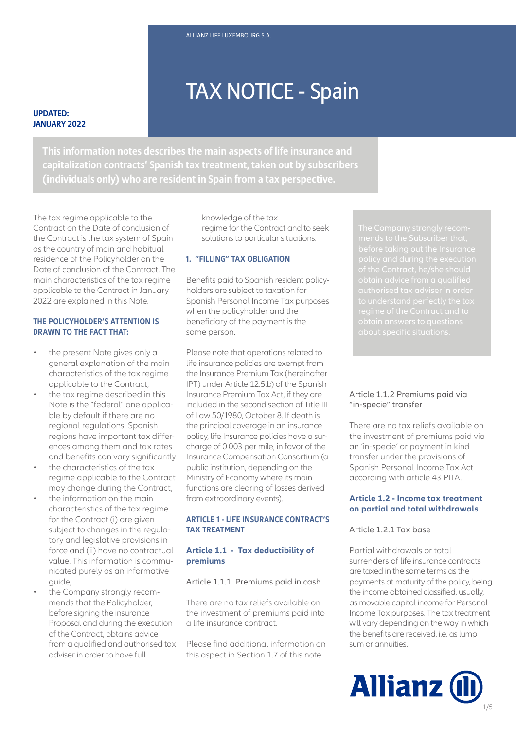# TAX NOTICE - Spain

#### **UPDATED: JANUARY 2022**

**This information notes describes the main aspects of life insurance and capitalization contracts' Spanish tax treatment, taken out by subscribers (individuals only) who are resident in Spain from a tax perspective.**

The tax regime applicable to the Contract on the Date of conclusion of the Contract is the tax system of Spain as the country of main and habitual residence of the Policyholder on the Date of conclusion of the Contract. The main characteristics of the tax regime applicable to the Contract in January 2022 are explained in this Note.

# **THE POLICYHOLDER'S ATTENTION IS DRAWN TO THE FACT THAT:**

- the present Note gives only a general explanation of the main characteristics of the tax regime applicable to the Contract,
- the tax regime described in this Note is the "federal" one applicable by default if there are no regional regulations. Spanish regions have important tax differences among them and tax rates and benefits can vary significantly
- the characteristics of the tax regime applicable to the Contract may change during the Contract,
- the information on the main characteristics of the tax regime for the Contract (i) are given subject to changes in the regulatory and legislative provisions in force and (ii) have no contractual value. This information is communicated purely as an informative quide.
- the Company strongly recommends that the Policyholder, before signing the insurance Proposal and during the execution of the Contract, obtains advice from a qualified and authorised tax adviser in order to have full

knowledge of the tax regime for the Contract and to seek solutions to particular situations.

# **1. "FILLING" TAX OBLIGATION**

Benefits paid to Spanish resident policyholders are subject to taxation for Spanish Personal Income Tax purposes when the policyholder and the beneficiary of the payment is the same person.

runctions are clearing or losses **«**<br>from extraordinary events). Please note that operations related to life insurance policies are exempt from the Insurance Premium Tax (hereinafter IPT) under Article 12.5.b) of the Spanish Insurance Premium Tax Act, if they are included in the second section of Title III of Law 50/1980, October 8. If death is the principal coverage in an insurance policy, life Insurance policies have a surcharge of 0.003 per mile, in favor of the Insurance Compensation Consortium (a public institution, depending on the Ministry of Economy where its main functions are clearing of losses derived

# **ARTICLE 1 - LIFE INSURANCE CONTRACT'S TAX TREATMENT**

# **Article 1.1 - Tax deductibility of premiums**

# Article 1.1.1 Premiums paid in cash

There are no tax reliefs available on the investment of premiums paid into a life insurance contract.

Please find additional information on this aspect in Section 1.7 of this note.

# Article 1.1.2 Premiums paid via "in-specie" transfer

There are no tax reliefs available on the investment of premiums paid via an 'in-specie' or payment in kind transfer under the provisions of Spanish Personal Income Tax Act according with article 43 PITA.

# **Article 1.2 - Income tax treatment on partial and total withdrawals**

# Article 1.2.1 Tax base

Partial withdrawals or total surrenders of life insurance contracts are taxed in the same terms as the payments at maturity of the policy, being the income obtained classified, usually, as movable capital income for Personal Income Tax purposes. The tax treatment will vary depending on the way in which the benefits are received, i.e. as lump sum or annuities.

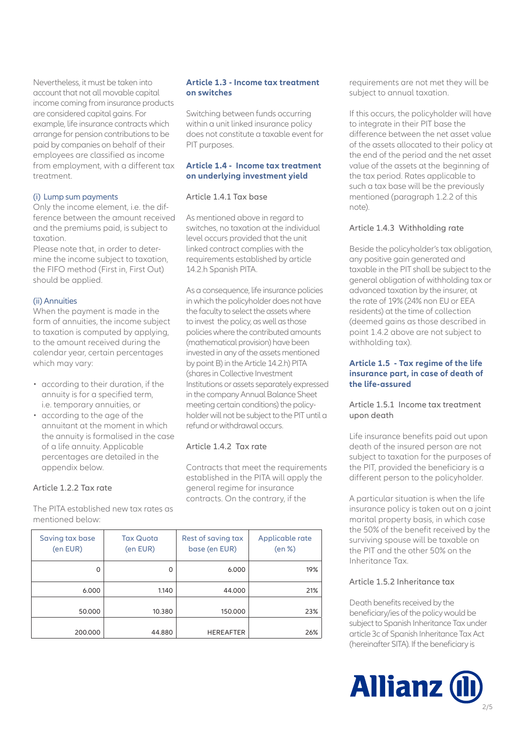Nevertheless, it must be taken into account that not all movable capital income coming from insurance products are considered capital gains. For example, life insurance contracts which arrange for pension contributions to be paid by companies on behalf of their employees are classified as income from employment, with a different tax treatment.

#### (i) Lump sum payments

Only the income element, i.e. the difference between the amount received and the premiums paid, is subject to taxation.

Please note that, in order to determine the income subject to taxation, the FIFO method (First in, First Out) should be applied.

#### (ii) Annuities

When the payment is made in the form of annuities, the income subject to taxation is computed by applying, to the amount received during the calendar year, certain percentages which may vary:

- according to their duration, if the annuity is for a specified term, i.e. temporary annuities, or
- according to the age of the annuitant at the moment in which the annuity is formalised in the case of a life annuity. Applicable percentages are detailed in the appendix below.

# Article 1.2.2 Tax rate

The PITA established new tax rates as mentioned below:

# **Article 1.3 - Income tax treatment on switches**

Switching between funds occurring within a unit linked insurance policy does not constitute a taxable event for PIT purposes.

#### **Article 1.4 - Income tax treatment on underlying investment yield**

#### Article 1.4.1 Tax base

As mentioned above in regard to switches, no taxation at the individual level occurs provided that the unit linked contract complies with the requirements established by article 14.2.h Spanish PITA.

As a consequence, life insurance policies in which the policyholder does not have the faculty to select the assets where to invest the policy, as well as those policies where the contributed amounts (mathematical provision) have been invested in any of the assets mentioned by point B) in the Article 14.2.h) PITA (shares in Collective Investment Institutions or assets separately expressed in the company Annual Balance Sheet meeting certain conditions) the policyholder will not be subject to the PIT until a refund or withdrawal occurs.

# Article 1.4.2 Tax rate

Contracts that meet the requirements established in the PITA will apply the general regime for insurance contracts. On the contrary, if the

| Saving tax base<br>(en EUR) | <b>Tax Quota</b><br>(en EUR) | Rest of saving tax<br>base (en EUR) | Applicable rate<br>(en %) |
|-----------------------------|------------------------------|-------------------------------------|---------------------------|
| 0                           | 0                            | 6.000                               | 19%                       |
| 6.000                       | 1.140                        | 44.000                              | 21%                       |
| 50,000                      | 10.380                       | 150,000                             | 23%                       |
| 200,000                     | 44.880                       | <b>HEREAFTER</b>                    | 26%                       |

requirements are not met they will be subject to annual taxation.

If this occurs, the policyholder will have to integrate in their PIT base the difference between the net asset value of the assets allocated to their policy at the end of the period and the net asset value of the assets at the beginning of the tax period. Rates applicable to such a tax base will be the previously mentioned (paragraph 1.2.2 of this note).

# Article 1.4.3 Withholding rate

Beside the policyholder's tax obligation, any positive gain generated and taxable in the PIT shall be subject to the general obligation of withholding tax or advanced taxation by the insurer, at the rate of 19% (24% non EU or EEA residents) at the time of collection (deemed gains as those described in point 1.4.2 above are not subject to withholding tax).

## **Article 1.5 - Tax regime of the life insurance part, in case of death of the life-assured**

Article 1.5.1 Income tax treatment upon death

Life insurance benefits paid out upon death of the insured person are not subject to taxation for the purposes of the PIT, provided the beneficiary is a different person to the policyholder.

A particular situation is when the life insurance policy is taken out on a joint marital property basis, in which case the 50% of the benefit received by the surviving spouse will be taxable on the PIT and the other 50% on the Inheritance Tax.

# Article 1.5.2 Inheritance tax

Death benefits received by the beneficiary/ies of the policy would be subject to Spanish Inheritance Tax under article 3c of Spanish Inheritance Tax Act (hereinafter SITA). If the beneficiary is

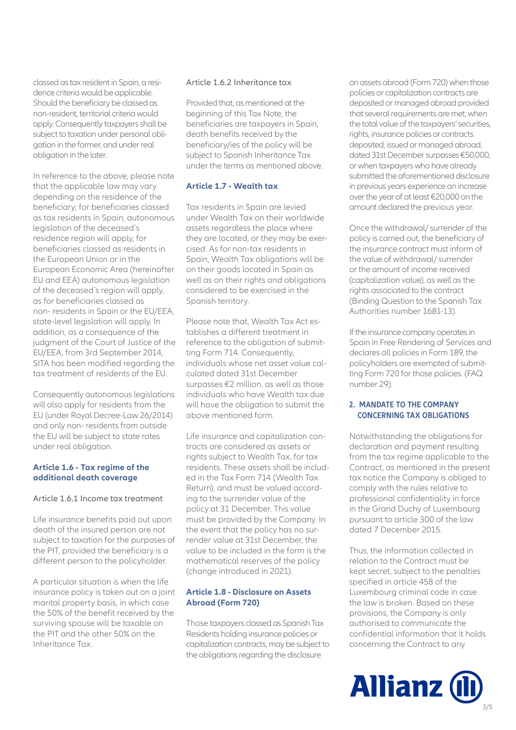classed as tax resident in Spain, a residence criteria would be applicable. Should the beneficiary be classed as non-resident, territorial criteria would apply. Consequently taxpayers shall be subject to taxation under personal obligation in the former, and under real obligation in the later.

In reference to the above, please note that the applicable law may vary depending on the residence of the beneficiary; for beneficiaries classed as tax residents in Spain, autonomous legislation of the deceased´s residence region will apply, for beneficiaries classed as residents in the European Union or in the European Economic Area (hereinafter EU and EEA) autonomous legislation of the deceased´s region will apply, as for beneficiaries classed as non- residents in Spain or the EU/EEA, state-level legislation will apply. In addition, as a consequence of the judgment of the Court of Justice of the EU/EEA, from 3rd September 2014, SITA has been modified regarding the tax treatment of residents of the EU.

Consequently autonomous legislations will also apply for residents from the EU (under Royal Decree-Law 26/2014) and only non- residents from outside the EU will be subject to state rates under real obligation.

#### **Article 1.6 - Tax regime of the additional death coverage**

# Article 1.6.1 Income tax treatment

Life insurance benefits paid out upon death of the insured person are not subject to taxation for the purposes of the PIT, provided the beneficiary is a different person to the policyholder.

A particular situation is when the life insurance policy is taken out on a joint marital property basis, in which case the 50% of the benefit received by the surviving spouse will be taxable on the PIT and the other 50% on the Inheritance Tax.

#### Article 1.6.2 Inheritance tax

Provided that, as mentioned at the beginning of this Tax Note, the beneficiaries are taxpayers in Spain, death benefits received by the beneficiary/ies of the policy will be subject to Spanish Inheritance Tax under the terms as mentioned above.

#### **Article 1.7 - Wealth tax**

Tax residents in Spain are levied under Wealth Tax on their worldwide assets regardless the place where they are located, or they may be exercised. As for non-tax residents in Spain, Wealth Tax obligations will be on their goods located in Spain as well as on their rights and obligations considered to be exercised in the Spanish territory.

Please note that, Wealth Tax Act establishes a different treatment in reference to the obligation of submitting Form 714, Consequently, individuals whose net asset value calculated dated 31st December surpasses €2 million, as well as those individuals who have Wealth tax due will have the obligation to submit the above mentioned form.

Life insurance and capitalization contracts are considered as assets or rights subject to Wealth Tax, for tax residents. These assets shall be included in the Tax Form 714 (Wealth Tax Return), and must be valued according to the surrender value of the policy at 31 December. This value must be provided by the Company. In the event that the policy has no surrender value at 31st December, the value to be included in the form is the mathematical reserves of the policy (change introduced in 2021).

#### **Article 1.8 - Disclosure on Assets Abroad (Form 720)**

Those taxpayers classed as Spanish Tax Residents holding insurance policies or capitalization contracts, may be subject to the obligations regarding the disclosure

on assets abroad (Form 720) when those policies or capitalization contracts are deposited or managed abroad provided that several requirements are met; when the total value of the taxpayers' securities, rights, insurance policies or contracts deposited, issued or managed abroad, dated 31st December surpasses €50,000, or when taxpayers who have already submitted the aforementioned disclosure in previous years experience an increase over the year of at least €20,000 on the amount declared the previous year.

Once the withdrawal/ surrender of the policy is carried out, the beneficiary of the insurance contract must inform of the value of withdrawal/ surrender or the amount of income received (capitalization value), as well as the rights associated to the contract (Binding Question to the Spanish Tax Authorities number 1681-13).

If the insurance company operates in Spain in Free Rendering of Services and declares all policies in Form 189, the policyholders are exempted of submitting Form 720 for those policies. (FAQ number 29).

#### **2. MANDATE TO THE COMPANY CONCERNING TAX OBLIGATIONS**

Notwithstanding the obligations for declaration and payment resulting from the tax regime applicable to the Contract, as mentioned in the present tax notice the Company is obliged to comply with the rules relative to professional confidentiality in force in the Grand Duchy of Luxembourg pursuant to article 300 of the law dated 7 December 2015.

Thus, the information collected in relation to the Contract must be kept secret, subject to the penalties specified in article 458 of the Luxembourg criminal code in case the law is broken. Based on these provisions, the Company is only authorised to communicate the confidential information that it holds concerning the Contract to any

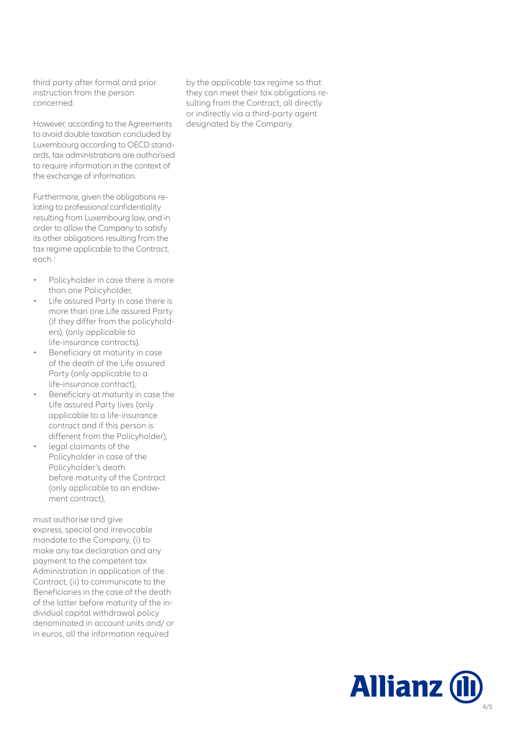third party after formal and prior instruction from the person concerned.

However, according to the Agreements to avoid double taxation concluded by Luxembourg according to OECD standards, tax administrations are authorised to require information in the context of the exchange of information.

Furthermore, given the obligations relating to professional confidentiality resulting from Luxembourg law, and in order to allow the Company to satisfy its other obligations resulting from the tax regime applicable to the Contract, each :

- Policyholder in case there is more than one Policyholder,
- Life assured Party in case there is more than one Life assured Party (if they differ from the policyholders), (only applicable to life-insurance contracts),
- Beneficiary at maturity in case of the death of the Life assured Party (only applicable to a life-insurance contract),
- Beneficiary at maturity in case the Life assured Party lives (only applicable to a life-insurance contract and if this person is different from the Policyholder),
- legal claimants of the Policyholder in case of the Policyholder's death before maturity of the Contract (only applicable to an endowment contract),

must authorise and give express, special and irrevocable mandate to the Company, (i) to make any tax declaration and any payment to the competent tax Administration in application of the Contract, (ii) to communicate to the Beneficiaries in the case of the death of the latter before maturity of the individual capital withdrawal policy denominated in account units and/ or in euros, all the information required

by the applicable tax regime so that they can meet their tax obligations resulting from the Contract, all directly or indirectly via a third-party agent designated by the Company.